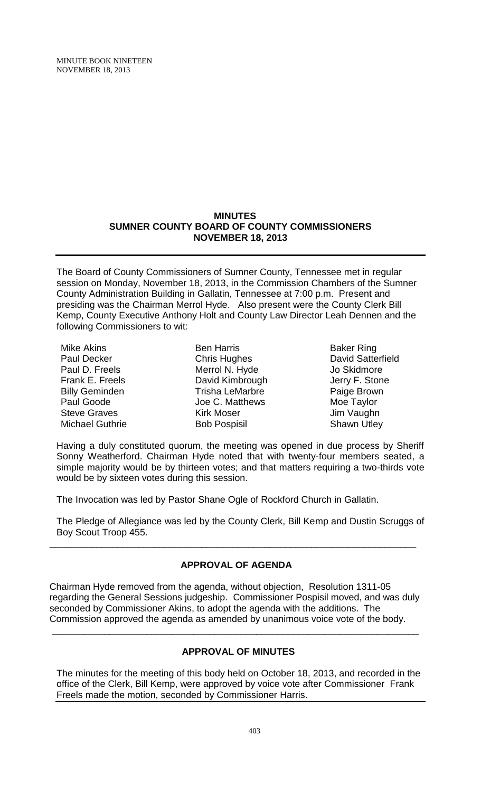MINUTE BOOK NINETEEN NOVEMBER 18, 2013

### **MINUTES SUMNER COUNTY BOARD OF COUNTY COMMISSIONERS NOVEMBER 18, 2013**

The Board of County Commissioners of Sumner County, Tennessee met in regular session on Monday, November 18, 2013, in the Commission Chambers of the Sumner County Administration Building in Gallatin, Tennessee at 7:00 p.m. Present and presiding was the Chairman Merrol Hyde. Also present were the County Clerk Bill Kemp, County Executive Anthony Holt and County Law Director Leah Dennen and the following Commissioners to wit:

| Mike Akins             |
|------------------------|
| Paul Decker            |
| Paul D. Freels         |
| Frank E. Freels        |
| <b>Billy Geminden</b>  |
| Paul Goode             |
| <b>Steve Graves</b>    |
| <b>Michael Guthrie</b> |

Ben Harris Chris Hughes Merrol N. Hyde David Kimbrough Trisha LeMarbre Joe C. Matthews Kirk Moser Bob Pospisil

Baker Ring David Satterfield Jo Skidmore Jerry F. Stone Paige Brown Moe Taylor Jim Vaughn Shawn Utley

Having a duly constituted quorum, the meeting was opened in due process by Sheriff Sonny Weatherford. Chairman Hyde noted that with twenty-four members seated, a simple majority would be by thirteen votes; and that matters requiring a two-thirds vote would be by sixteen votes during this session.

The Invocation was led by Pastor Shane Ogle of Rockford Church in Gallatin.

The Pledge of Allegiance was led by the County Clerk, Bill Kemp and Dustin Scruggs of Boy Scout Troop 455.

# **APPROVAL OF AGENDA**

\_\_\_\_\_\_\_\_\_\_\_\_\_\_\_\_\_\_\_\_\_\_\_\_\_\_\_\_\_\_\_\_\_\_\_\_\_\_\_\_\_\_\_\_\_\_\_\_\_\_\_\_\_\_\_\_\_\_\_\_\_\_\_\_\_\_\_\_\_\_

Chairman Hyde removed from the agenda, without objection, Resolution 1311-05 regarding the General Sessions judgeship. Commissioner Pospisil moved, and was duly seconded by Commissioner Akins, to adopt the agenda with the additions. The Commission approved the agenda as amended by unanimous voice vote of the body.

\_\_\_\_\_\_\_\_\_\_\_\_\_\_\_\_\_\_\_\_\_\_\_\_\_\_\_\_\_\_\_\_\_\_\_\_\_\_\_\_\_\_\_\_\_\_\_\_\_\_\_\_\_\_\_\_\_\_\_\_\_\_\_\_\_\_\_\_\_\_

# **APPROVAL OF MINUTES**

The minutes for the meeting of this body held on October 18, 2013, and recorded in the office of the Clerk, Bill Kemp, were approved by voice vote after Commissioner Frank Freels made the motion, seconded by Commissioner Harris.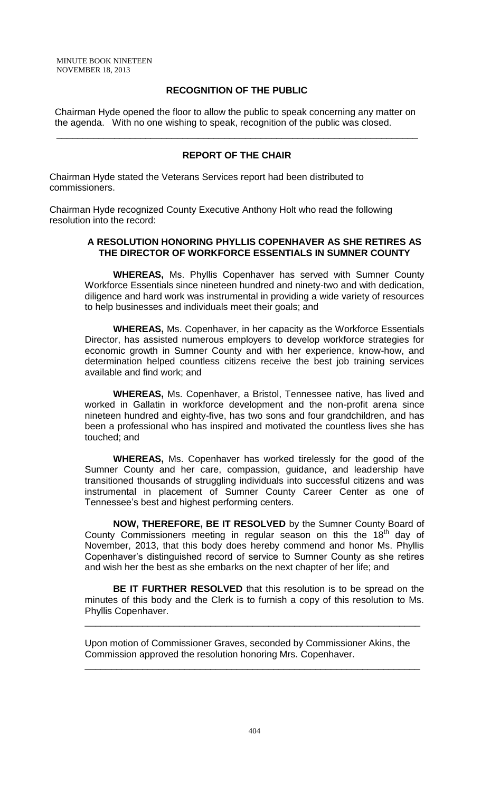### **RECOGNITION OF THE PUBLIC**

 Chairman Hyde opened the floor to allow the public to speak concerning any matter on the agenda. With no one wishing to speak, recognition of the public was closed.

### **REPORT OF THE CHAIR**

\_\_\_\_\_\_\_\_\_\_\_\_\_\_\_\_\_\_\_\_\_\_\_\_\_\_\_\_\_\_\_\_\_\_\_\_\_\_\_\_\_\_\_\_\_\_\_\_\_\_\_\_\_\_\_\_\_\_\_\_\_\_\_\_\_\_\_\_\_

Chairman Hyde stated the Veterans Services report had been distributed to commissioners.

Chairman Hyde recognized County Executive Anthony Holt who read the following resolution into the record:

#### **A RESOLUTION HONORING PHYLLIS COPENHAVER AS SHE RETIRES AS THE DIRECTOR OF WORKFORCE ESSENTIALS IN SUMNER COUNTY**

**WHEREAS,** Ms. Phyllis Copenhaver has served with Sumner County Workforce Essentials since nineteen hundred and ninety-two and with dedication, diligence and hard work was instrumental in providing a wide variety of resources to help businesses and individuals meet their goals; and

**WHEREAS,** Ms. Copenhaver, in her capacity as the Workforce Essentials Director, has assisted numerous employers to develop workforce strategies for economic growth in Sumner County and with her experience, know-how, and determination helped countless citizens receive the best job training services available and find work; and

**WHEREAS,** Ms. Copenhaver, a Bristol, Tennessee native, has lived and worked in Gallatin in workforce development and the non-profit arena since nineteen hundred and eighty-five, has two sons and four grandchildren, and has been a professional who has inspired and motivated the countless lives she has touched; and

**WHEREAS,** Ms. Copenhaver has worked tirelessly for the good of the Sumner County and her care, compassion, guidance, and leadership have transitioned thousands of struggling individuals into successful citizens and was instrumental in placement of Sumner County Career Center as one of Tennessee's best and highest performing centers.

**NOW, THEREFORE, BE IT RESOLVED** by the Sumner County Board of County Commissioners meeting in regular season on this the  $18<sup>th</sup>$  day of November, 2013, that this body does hereby commend and honor Ms. Phyllis Copenhaver's distinguished record of service to Sumner County as she retires and wish her the best as she embarks on the next chapter of her life; and

**BE IT FURTHER RESOLVED** that this resolution is to be spread on the minutes of this body and the Clerk is to furnish a copy of this resolution to Ms. Phyllis Copenhaver.

\_\_\_\_\_\_\_\_\_\_\_\_\_\_\_\_\_\_\_\_\_\_\_\_\_\_\_\_\_\_\_\_\_\_\_\_\_\_\_\_\_\_\_\_\_\_\_\_\_\_\_\_\_\_\_\_\_\_\_\_\_\_\_\_

Upon motion of Commissioner Graves, seconded by Commissioner Akins, the Commission approved the resolution honoring Mrs. Copenhaver.

\_\_\_\_\_\_\_\_\_\_\_\_\_\_\_\_\_\_\_\_\_\_\_\_\_\_\_\_\_\_\_\_\_\_\_\_\_\_\_\_\_\_\_\_\_\_\_\_\_\_\_\_\_\_\_\_\_\_\_\_\_\_\_\_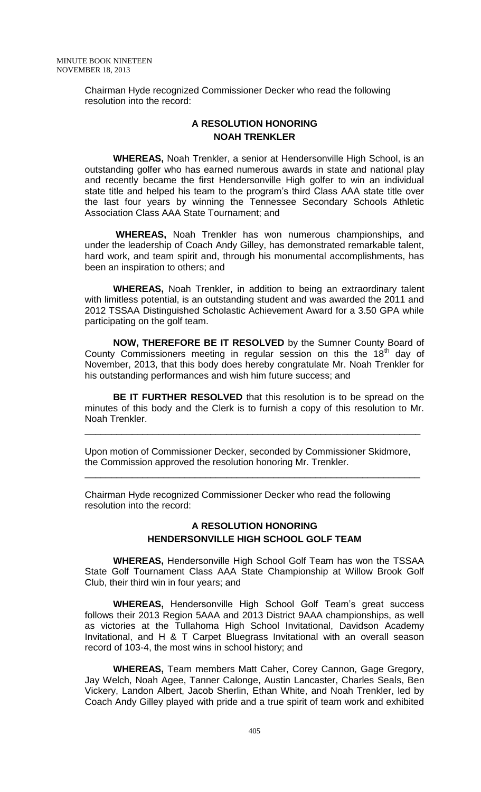Chairman Hyde recognized Commissioner Decker who read the following resolution into the record:

# **A RESOLUTION HONORING NOAH TRENKLER**

**WHEREAS,** Noah Trenkler, a senior at Hendersonville High School, is an outstanding golfer who has earned numerous awards in state and national play and recently became the first Hendersonville High golfer to win an individual state title and helped his team to the program's third Class AAA state title over the last four years by winning the Tennessee Secondary Schools Athletic Association Class AAA State Tournament; and

**WHEREAS,** Noah Trenkler has won numerous championships, and under the leadership of Coach Andy Gilley, has demonstrated remarkable talent, hard work, and team spirit and, through his monumental accomplishments, has been an inspiration to others; and

**WHEREAS,** Noah Trenkler, in addition to being an extraordinary talent with limitless potential, is an outstanding student and was awarded the 2011 and 2012 TSSAA Distinguished Scholastic Achievement Award for a 3.50 GPA while participating on the golf team.

**NOW, THEREFORE BE IT RESOLVED** by the Sumner County Board of County Commissioners meeting in regular session on this the  $18<sup>th</sup>$  day of November, 2013, that this body does hereby congratulate Mr. Noah Trenkler for his outstanding performances and wish him future success; and

**BE IT FURTHER RESOLVED** that this resolution is to be spread on the minutes of this body and the Clerk is to furnish a copy of this resolution to Mr. Noah Trenkler.

\_\_\_\_\_\_\_\_\_\_\_\_\_\_\_\_\_\_\_\_\_\_\_\_\_\_\_\_\_\_\_\_\_\_\_\_\_\_\_\_\_\_\_\_\_\_\_\_\_\_\_\_\_\_\_\_\_\_\_\_\_\_\_\_

Upon motion of Commissioner Decker, seconded by Commissioner Skidmore, the Commission approved the resolution honoring Mr. Trenkler.

\_\_\_\_\_\_\_\_\_\_\_\_\_\_\_\_\_\_\_\_\_\_\_\_\_\_\_\_\_\_\_\_\_\_\_\_\_\_\_\_\_\_\_\_\_\_\_\_\_\_\_\_\_\_\_\_\_\_\_\_\_\_\_\_

Chairman Hyde recognized Commissioner Decker who read the following resolution into the record:

# **A RESOLUTION HONORING HENDERSONVILLE HIGH SCHOOL GOLF TEAM**

**WHEREAS,** Hendersonville High School Golf Team has won the TSSAA State Golf Tournament Class AAA State Championship at Willow Brook Golf Club, their third win in four years; and

**WHEREAS,** Hendersonville High School Golf Team's great success follows their 2013 Region 5AAA and 2013 District 9AAA championships, as well as victories at the Tullahoma High School Invitational, Davidson Academy Invitational, and H & T Carpet Bluegrass Invitational with an overall season record of 103-4, the most wins in school history; and

**WHEREAS,** Team members Matt Caher, Corey Cannon, Gage Gregory, Jay Welch, Noah Agee, Tanner Calonge, Austin Lancaster, Charles Seals, Ben Vickery, Landon Albert, Jacob Sherlin, Ethan White, and Noah Trenkler, led by Coach Andy Gilley played with pride and a true spirit of team work and exhibited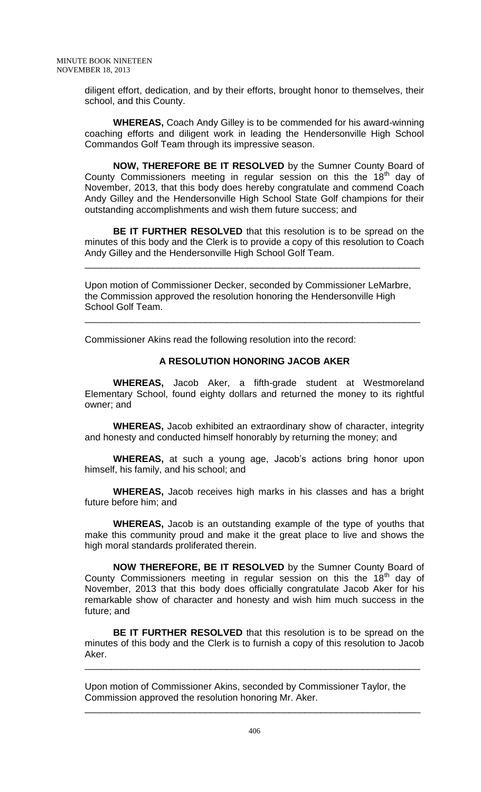diligent effort, dedication, and by their efforts, brought honor to themselves, their school, and this County.

**WHEREAS,** Coach Andy Gilley is to be commended for his award-winning coaching efforts and diligent work in leading the Hendersonville High School Commandos Golf Team through its impressive season.

**NOW, THEREFORE BE IT RESOLVED** by the Sumner County Board of County Commissioners meeting in regular session on this the  $18<sup>th</sup>$  day of November, 2013, that this body does hereby congratulate and commend Coach Andy Gilley and the Hendersonville High School State Golf champions for their outstanding accomplishments and wish them future success; and

**BE IT FURTHER RESOLVED** that this resolution is to be spread on the minutes of this body and the Clerk is to provide a copy of this resolution to Coach Andy Gilley and the Hendersonville High School Golf Team.

\_\_\_\_\_\_\_\_\_\_\_\_\_\_\_\_\_\_\_\_\_\_\_\_\_\_\_\_\_\_\_\_\_\_\_\_\_\_\_\_\_\_\_\_\_\_\_\_\_\_\_\_\_\_\_\_\_\_\_\_\_\_\_\_

Upon motion of Commissioner Decker, seconded by Commissioner LeMarbre, the Commission approved the resolution honoring the Hendersonville High School Golf Team.

\_\_\_\_\_\_\_\_\_\_\_\_\_\_\_\_\_\_\_\_\_\_\_\_\_\_\_\_\_\_\_\_\_\_\_\_\_\_\_\_\_\_\_\_\_\_\_\_\_\_\_\_\_\_\_\_\_\_\_\_\_\_\_\_

Commissioner Akins read the following resolution into the record:

### **A RESOLUTION HONORING JACOB AKER**

**WHEREAS,** Jacob Aker, a fifth-grade student at Westmoreland Elementary School, found eighty dollars and returned the money to its rightful owner; and

**WHEREAS,** Jacob exhibited an extraordinary show of character, integrity and honesty and conducted himself honorably by returning the money; and

**WHEREAS,** at such a young age, Jacob's actions bring honor upon himself, his family, and his school; and

**WHEREAS,** Jacob receives high marks in his classes and has a bright future before him; and

**WHEREAS,** Jacob is an outstanding example of the type of youths that make this community proud and make it the great place to live and shows the high moral standards proliferated therein.

**NOW THEREFORE, BE IT RESOLVED** by the Sumner County Board of County Commissioners meeting in regular session on this the  $18<sup>th</sup>$  day of November, 2013 that this body does officially congratulate Jacob Aker for his remarkable show of character and honesty and wish him much success in the future; and

**BE IT FURTHER RESOLVED** that this resolution is to be spread on the minutes of this body and the Clerk is to furnish a copy of this resolution to Jacob Aker.

\_\_\_\_\_\_\_\_\_\_\_\_\_\_\_\_\_\_\_\_\_\_\_\_\_\_\_\_\_\_\_\_\_\_\_\_\_\_\_\_\_\_\_\_\_\_\_\_\_\_\_\_\_\_\_\_\_\_\_\_\_\_\_\_

Upon motion of Commissioner Akins, seconded by Commissioner Taylor, the Commission approved the resolution honoring Mr. Aker.

\_\_\_\_\_\_\_\_\_\_\_\_\_\_\_\_\_\_\_\_\_\_\_\_\_\_\_\_\_\_\_\_\_\_\_\_\_\_\_\_\_\_\_\_\_\_\_\_\_\_\_\_\_\_\_\_\_\_\_\_\_\_\_\_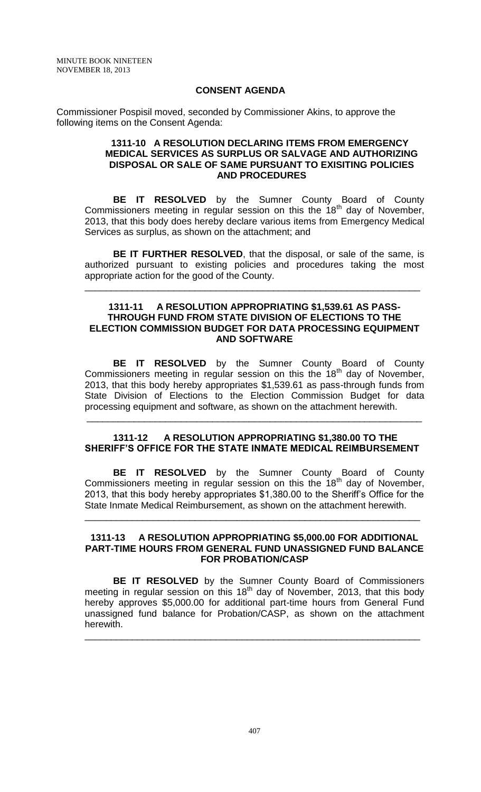#### **CONSENT AGENDA**

Commissioner Pospisil moved, seconded by Commissioner Akins, to approve the following items on the Consent Agenda:

#### **1311-10 A RESOLUTION DECLARING ITEMS FROM EMERGENCY MEDICAL SERVICES AS SURPLUS OR SALVAGE AND AUTHORIZING DISPOSAL OR SALE OF SAME PURSUANT TO EXISITING POLICIES AND PROCEDURES**

**BE IT RESOLVED** by the Sumner County Board of County Commissioners meeting in regular session on this the  $18<sup>th</sup>$  day of November, 2013, that this body does hereby declare various items from Emergency Medical Services as surplus, as shown on the attachment; and

**BE IT FURTHER RESOLVED**, that the disposal, or sale of the same, is authorized pursuant to existing policies and procedures taking the most appropriate action for the good of the County.

\_\_\_\_\_\_\_\_\_\_\_\_\_\_\_\_\_\_\_\_\_\_\_\_\_\_\_\_\_\_\_\_\_\_\_\_\_\_\_\_\_\_\_\_\_\_\_\_\_\_\_\_\_\_\_\_\_\_\_\_\_\_\_\_

#### **1311-11 A RESOLUTION APPROPRIATING \$1,539.61 AS PASS-THROUGH FUND FROM STATE DIVISION OF ELECTIONS TO THE ELECTION COMMISSION BUDGET FOR DATA PROCESSING EQUIPMENT AND SOFTWARE**

**BE IT RESOLVED** by the Sumner County Board of County Commissioners meeting in regular session on this the  $18<sup>th</sup>$  day of November, 2013, that this body hereby appropriates \$1,539.61 as pass-through funds from State Division of Elections to the Election Commission Budget for data processing equipment and software, as shown on the attachment herewith.

#### **1311-12 A RESOLUTION APPROPRIATING \$1,380.00 TO THE SHERIFF'S OFFICE FOR THE STATE INMATE MEDICAL REIMBURSEMENT**

\_\_\_\_\_\_\_\_\_\_\_\_\_\_\_\_\_\_\_\_\_\_\_\_\_\_\_\_\_\_\_\_\_\_\_\_\_\_\_\_\_\_\_\_\_\_\_\_\_\_\_\_\_\_\_\_\_\_\_\_\_\_\_\_

**BE IT RESOLVED** by the Sumner County Board of County Commissioners meeting in regular session on this the  $18<sup>th</sup>$  day of November, 2013, that this body hereby appropriates \$1,380.00 to the Sheriff's Office for the State Inmate Medical Reimbursement, as shown on the attachment herewith.

\_\_\_\_\_\_\_\_\_\_\_\_\_\_\_\_\_\_\_\_\_\_\_\_\_\_\_\_\_\_\_\_\_\_\_\_\_\_\_\_\_\_\_\_\_\_\_\_\_\_\_\_\_\_\_\_\_\_\_\_\_\_\_\_

#### **1311-13 A RESOLUTION APPROPRIATING \$5,000.00 FOR ADDITIONAL PART-TIME HOURS FROM GENERAL FUND UNASSIGNED FUND BALANCE FOR PROBATION/CASP**

**BE IT RESOLVED** by the Sumner County Board of Commissioners meeting in regular session on this  $18<sup>th</sup>$  day of November, 2013, that this body hereby approves \$5,000.00 for additional part-time hours from General Fund unassigned fund balance for Probation/CASP, as shown on the attachment herewith.

\_\_\_\_\_\_\_\_\_\_\_\_\_\_\_\_\_\_\_\_\_\_\_\_\_\_\_\_\_\_\_\_\_\_\_\_\_\_\_\_\_\_\_\_\_\_\_\_\_\_\_\_\_\_\_\_\_\_\_\_\_\_\_\_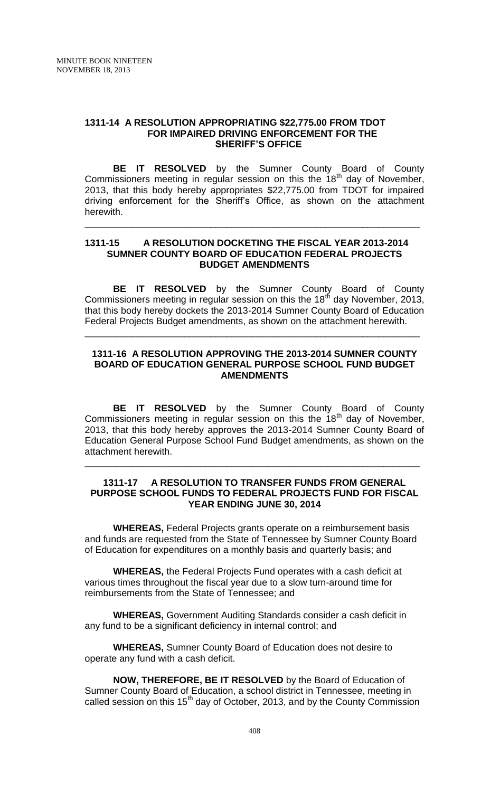#### **1311-14 A RESOLUTION APPROPRIATING \$22,775.00 FROM TDOT FOR IMPAIRED DRIVING ENFORCEMENT FOR THE SHERIFF'S OFFICE**

**BE IT RESOLVED** by the Sumner County Board of County Commissioners meeting in regular session on this the  $18<sup>th</sup>$  day of November, 2013, that this body hereby appropriates \$22,775.00 from TDOT for impaired driving enforcement for the Sheriff's Office, as shown on the attachment herewith.

\_\_\_\_\_\_\_\_\_\_\_\_\_\_\_\_\_\_\_\_\_\_\_\_\_\_\_\_\_\_\_\_\_\_\_\_\_\_\_\_\_\_\_\_\_\_\_\_\_\_\_\_\_\_\_\_\_\_\_\_\_\_\_\_

### **1311-15 A RESOLUTION DOCKETING THE FISCAL YEAR 2013-2014 SUMNER COUNTY BOARD OF EDUCATION FEDERAL PROJECTS BUDGET AMENDMENTS**

**BE IT RESOLVED** by the Sumner County Board of County Commissioners meeting in regular session on this the  $18<sup>th</sup>$  day November, 2013, that this body hereby dockets the 2013-2014 Sumner County Board of Education Federal Projects Budget amendments, as shown on the attachment herewith.

\_\_\_\_\_\_\_\_\_\_\_\_\_\_\_\_\_\_\_\_\_\_\_\_\_\_\_\_\_\_\_\_\_\_\_\_\_\_\_\_\_\_\_\_\_\_\_\_\_\_\_\_\_\_\_\_\_\_\_\_\_\_\_\_

### **1311-16 A RESOLUTION APPROVING THE 2013-2014 SUMNER COUNTY BOARD OF EDUCATION GENERAL PURPOSE SCHOOL FUND BUDGET AMENDMENTS**

**BE IT RESOLVED** by the Sumner County Board of County Commissioners meeting in regular session on this the  $18<sup>th</sup>$  day of November, 2013, that this body hereby approves the 2013-2014 Sumner County Board of Education General Purpose School Fund Budget amendments, as shown on the attachment herewith.

### **1311-17 A RESOLUTION TO TRANSFER FUNDS FROM GENERAL PURPOSE SCHOOL FUNDS TO FEDERAL PROJECTS FUND FOR FISCAL YEAR ENDING JUNE 30, 2014**

\_\_\_\_\_\_\_\_\_\_\_\_\_\_\_\_\_\_\_\_\_\_\_\_\_\_\_\_\_\_\_\_\_\_\_\_\_\_\_\_\_\_\_\_\_\_\_\_\_\_\_\_\_\_\_\_\_\_\_\_\_\_\_\_

**WHEREAS,** Federal Projects grants operate on a reimbursement basis and funds are requested from the State of Tennessee by Sumner County Board of Education for expenditures on a monthly basis and quarterly basis; and

**WHEREAS,** the Federal Projects Fund operates with a cash deficit at various times throughout the fiscal year due to a slow turn-around time for reimbursements from the State of Tennessee; and

**WHEREAS,** Government Auditing Standards consider a cash deficit in any fund to be a significant deficiency in internal control; and

**WHEREAS,** Sumner County Board of Education does not desire to operate any fund with a cash deficit.

**NOW, THEREFORE, BE IT RESOLVED** by the Board of Education of Sumner County Board of Education, a school district in Tennessee, meeting in called session on this  $15<sup>th</sup>$  day of October, 2013, and by the County Commission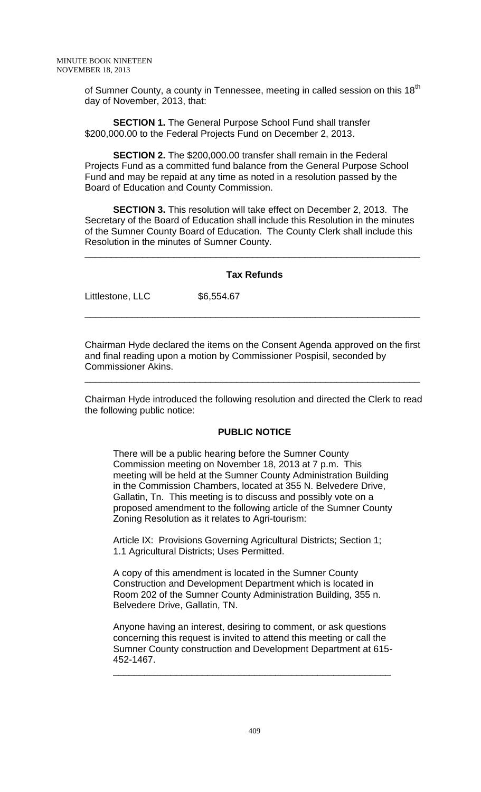of Sumner County, a county in Tennessee, meeting in called session on this 18<sup>th</sup> day of November, 2013, that:

**SECTION 1.** The General Purpose School Fund shall transfer \$200,000.00 to the Federal Projects Fund on December 2, 2013.

**SECTION 2.** The \$200,000.00 transfer shall remain in the Federal Projects Fund as a committed fund balance from the General Purpose School Fund and may be repaid at any time as noted in a resolution passed by the Board of Education and County Commission.

**SECTION 3.** This resolution will take effect on December 2, 2013. The Secretary of the Board of Education shall include this Resolution in the minutes of the Sumner County Board of Education. The County Clerk shall include this Resolution in the minutes of Sumner County.

# **Tax Refunds**

\_\_\_\_\_\_\_\_\_\_\_\_\_\_\_\_\_\_\_\_\_\_\_\_\_\_\_\_\_\_\_\_\_\_\_\_\_\_\_\_\_\_\_\_\_\_\_\_\_\_\_\_\_\_\_\_\_\_\_\_\_\_\_\_

\_\_\_\_\_\_\_\_\_\_\_\_\_\_\_\_\_\_\_\_\_\_\_\_\_\_\_\_\_\_\_\_\_\_\_\_\_\_\_\_\_\_\_\_\_\_\_\_\_\_\_\_\_\_\_\_\_\_\_\_\_\_\_\_

Littlestone, LLC \$6,554.67

Chairman Hyde declared the items on the Consent Agenda approved on the first and final reading upon a motion by Commissioner Pospisil, seconded by Commissioner Akins.

\_\_\_\_\_\_\_\_\_\_\_\_\_\_\_\_\_\_\_\_\_\_\_\_\_\_\_\_\_\_\_\_\_\_\_\_\_\_\_\_\_\_\_\_\_\_\_\_\_\_\_\_\_\_\_\_\_\_\_\_\_\_\_\_

Chairman Hyde introduced the following resolution and directed the Clerk to read the following public notice:

# **PUBLIC NOTICE**

There will be a public hearing before the Sumner County Commission meeting on November 18, 2013 at 7 p.m. This meeting will be held at the Sumner County Administration Building in the Commission Chambers, located at 355 N. Belvedere Drive, Gallatin, Tn. This meeting is to discuss and possibly vote on a proposed amendment to the following article of the Sumner County Zoning Resolution as it relates to Agri-tourism:

Article IX: Provisions Governing Agricultural Districts; Section 1; 1.1 Agricultural Districts; Uses Permitted.

A copy of this amendment is located in the Sumner County Construction and Development Department which is located in Room 202 of the Sumner County Administration Building, 355 n. Belvedere Drive, Gallatin, TN.

Anyone having an interest, desiring to comment, or ask questions concerning this request is invited to attend this meeting or call the Sumner County construction and Development Department at 615- 452-1467.

\_\_\_\_\_\_\_\_\_\_\_\_\_\_\_\_\_\_\_\_\_\_\_\_\_\_\_\_\_\_\_\_\_\_\_\_\_\_\_\_\_\_\_\_\_\_\_\_\_\_\_\_\_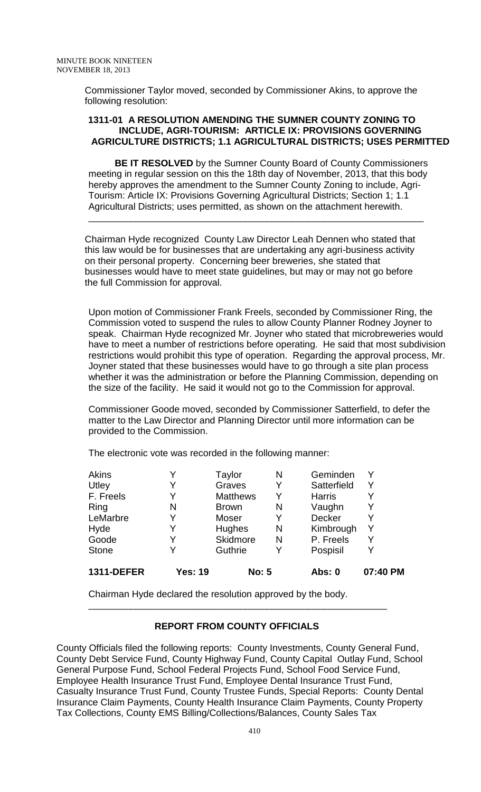Commissioner Taylor moved, seconded by Commissioner Akins, to approve the following resolution:

#### **1311-01 A RESOLUTION AMENDING THE SUMNER COUNTY ZONING TO INCLUDE, AGRI-TOURISM: ARTICLE IX: PROVISIONS GOVERNING AGRICULTURE DISTRICTS; 1.1 AGRICULTURAL DISTRICTS; USES PERMITTED**

 **BE IT RESOLVED** by the Sumner County Board of County Commissioners meeting in regular session on this the 18th day of November, 2013, that this body hereby approves the amendment to the Sumner County Zoning to include, Agri-Tourism: Article IX: Provisions Governing Agricultural Districts; Section 1; 1.1 Agricultural Districts; uses permitted, as shown on the attachment herewith. \_\_\_\_\_\_\_\_\_\_\_\_\_\_\_\_\_\_\_\_\_\_\_\_\_\_\_\_\_\_\_\_\_\_\_\_\_\_\_\_\_\_\_\_\_\_\_\_\_\_\_\_\_\_\_\_\_\_\_\_\_\_\_\_

Chairman Hyde recognized County Law Director Leah Dennen who stated that this law would be for businesses that are undertaking any agri-business activity on their personal property. Concerning beer breweries, she stated that businesses would have to meet state guidelines, but may or may not go before the full Commission for approval.

Upon motion of Commissioner Frank Freels, seconded by Commissioner Ring, the Commission voted to suspend the rules to allow County Planner Rodney Joyner to speak. Chairman Hyde recognized Mr. Joyner who stated that microbreweries would have to meet a number of restrictions before operating. He said that most subdivision restrictions would prohibit this type of operation. Regarding the approval process, Mr. Joyner stated that these businesses would have to go through a site plan process whether it was the administration or before the Planning Commission, depending on the size of the facility. He said it would not go to the Commission for approval.

Commissioner Goode moved, seconded by Commissioner Satterfield, to defer the matter to the Law Director and Planning Director until more information can be provided to the Commission.

The electronic vote was recorded in the following manner:

| <b>1311-DEFER</b> | <b>Yes: 19</b> | <b>No: 5</b>    |   | <b>Abs: 0</b> | 07:40 PM |
|-------------------|----------------|-----------------|---|---------------|----------|
| <b>Stone</b>      |                | Guthrie         | Y | Pospisil      |          |
| Goode             |                | <b>Skidmore</b> | N | P. Freels     |          |
| Hyde              |                | <b>Hughes</b>   | N | Kimbrough     |          |
| LeMarbre          |                | Moser           |   | <b>Decker</b> |          |
| Ring              | N              | <b>Brown</b>    | N | Vaughn        |          |
| F. Freels         | Y              | <b>Matthews</b> | Y | <b>Harris</b> |          |
| Utley             |                | Graves          |   | Satterfield   |          |
| Akins             |                | Taylor          | N | Geminden      |          |

Chairman Hyde declared the resolution approved by the body.

# **REPORT FROM COUNTY OFFICIALS**

\_\_\_\_\_\_\_\_\_\_\_\_\_\_\_\_\_\_\_\_\_\_\_\_\_\_\_\_\_\_\_\_\_\_\_\_\_\_\_\_\_\_\_\_\_\_\_\_\_\_\_\_\_\_\_\_\_

County Officials filed the following reports: County Investments, County General Fund, County Debt Service Fund, County Highway Fund, County Capital Outlay Fund, School General Purpose Fund, School Federal Projects Fund, School Food Service Fund, Employee Health Insurance Trust Fund, Employee Dental Insurance Trust Fund, Casualty Insurance Trust Fund, County Trustee Funds, Special Reports: County Dental Insurance Claim Payments, County Health Insurance Claim Payments, County Property Tax Collections, County EMS Billing/Collections/Balances, County Sales Tax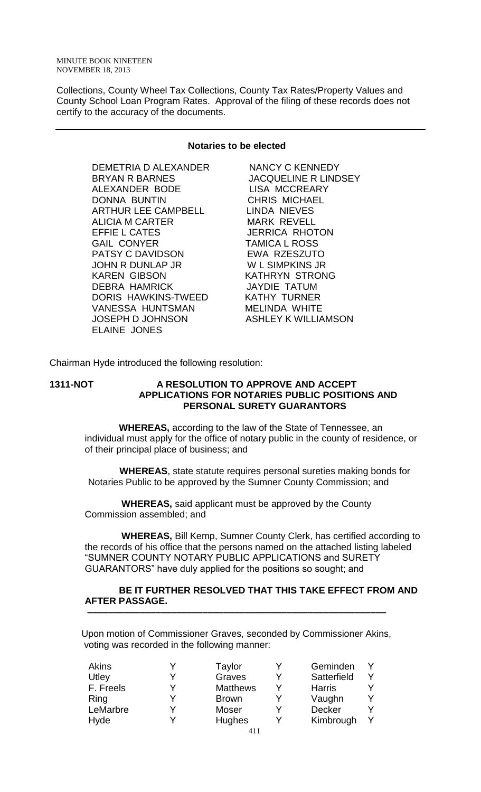Collections, County Wheel Tax Collections, County Tax Rates/Property Values and County School Loan Program Rates. Approval of the filing of these records does not certify to the accuracy of the documents.

#### **Notaries to be elected**

DEMETRIA D ALEXANDER NANCY C KENNEDY BRYAN R BARNES JACQUELINE R LINDSEY ALEXANDER BODE LISA MCCREARY DONNA BUNTIN CHRIS MICHAEL ARTHUR LEE CAMPBELL LINDA NIEVES ALICIA M CARTER MARK REVELL EFFIE L CATES JERRICA RHOTON GAIL CONYER TAMICA L ROSS PATSY C DAVIDSON EWA RZESZUTO JOHN R DUNLAP JR W L SIMPKINS JR KAREN GIBSON KATHRYN STRONG DEBRA HAMRICK JAYDIE TATUM DORIS HAWKINS-TWEED KATHY TURNER VANESSA HUNTSMAN MELINDA WHITE JOSEPH D JOHNSON ASHLEY K WILLIAMSON ELAINE JONES

Chairman Hyde introduced the following resolution:

#### **1311-NOT A RESOLUTION TO APPROVE AND ACCEPT APPLICATIONS FOR NOTARIES PUBLIC POSITIONS AND PERSONAL SURETY GUARANTORS**

 **WHEREAS,** according to the law of the State of Tennessee, an individual must apply for the office of notary public in the county of residence, or of their principal place of business; and

 **WHEREAS**, state statute requires personal sureties making bonds for Notaries Public to be approved by the Sumner County Commission; and

 **WHEREAS,** said applicant must be approved by the County Commission assembled; and

 **WHEREAS,** Bill Kemp, Sumner County Clerk, has certified according to the records of his office that the persons named on the attached listing labeled "SUMNER COUNTY NOTARY PUBLIC APPLICATIONS and SURETY GUARANTORS" have duly applied for the positions so sought; and

#### **BE IT FURTHER RESOLVED THAT THIS TAKE EFFECT FROM AND AFTER PASSAGE.**

Upon motion of Commissioner Graves, seconded by Commissioner Akins, voting was recorded in the following manner:

 **–––––––––––––––––––––––––––––––––––––––––––––––––––––––––**

| Akins     |   | Taylor          | Geminden      |   |
|-----------|---|-----------------|---------------|---|
| Utley     |   | Graves          | Satterfield   |   |
| F. Freels |   | <b>Matthews</b> | <b>Harris</b> | Y |
| Ring      |   | <b>Brown</b>    | Vaughn        | Y |
| LeMarbre  | v | Moser           | Decker        | Y |
| Hyde      |   | Hughes          | Kimbrough     | v |
|           |   |                 |               |   |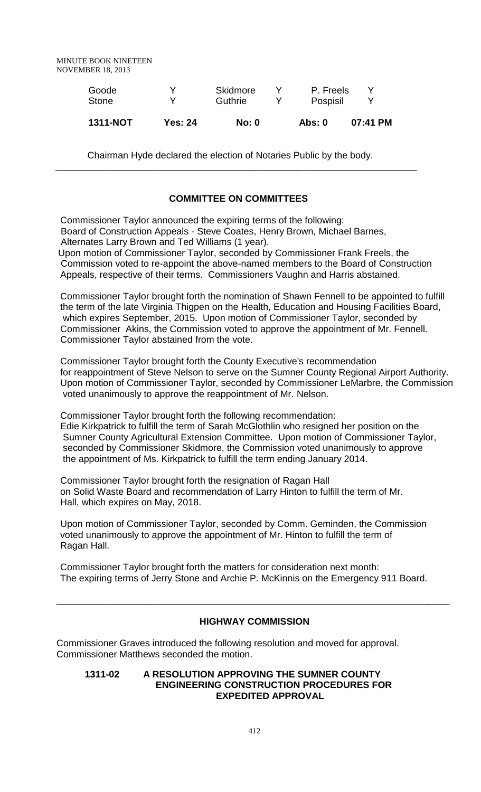| <b>1311-NOT</b>       | <b>Yes: 24</b> | <b>No: 0</b>        | Abs: 0                | 07:41 PM |
|-----------------------|----------------|---------------------|-----------------------|----------|
| Goode<br><b>Stone</b> | v              | Skidmore<br>Guthrie | P. Freels<br>Pospisil |          |

Chairman Hyde declared the election of Notaries Public by the body.

\_\_\_\_\_\_\_\_\_\_\_\_\_\_\_\_\_\_\_\_\_\_\_\_\_\_\_\_\_\_\_\_\_\_\_\_\_\_\_\_\_\_\_\_\_\_\_\_\_\_\_\_\_\_\_\_\_\_\_\_\_\_\_\_\_\_\_\_\_

# **COMMITTEE ON COMMITTEES**

Commissioner Taylor announced the expiring terms of the following: Board of Construction Appeals - Steve Coates, Henry Brown, Michael Barnes, Alternates Larry Brown and Ted Williams (1 year).

Upon motion of Commissioner Taylor, seconded by Commissioner Frank Freels, the Commission voted to re-appoint the above-named members to the Board of Construction Appeals, respective of their terms. Commissioners Vaughn and Harris abstained.

Commissioner Taylor brought forth the nomination of Shawn Fennell to be appointed to fulfill the term of the late Virginia Thigpen on the Health, Education and Housing Facilities Board, which expires September, 2015. Upon motion of Commissioner Taylor, seconded by Commissioner Akins, the Commission voted to approve the appointment of Mr. Fennell. Commissioner Taylor abstained from the vote.

Commissioner Taylor brought forth the County Executive's recommendation for reappointment of Steve Nelson to serve on the Sumner County Regional Airport Authority. Upon motion of Commissioner Taylor, seconded by Commissioner LeMarbre, the Commission voted unanimously to approve the reappointment of Mr. Nelson.

Commissioner Taylor brought forth the following recommendation: Edie Kirkpatrick to fulfill the term of Sarah McGlothlin who resigned her position on the Sumner County Agricultural Extension Committee. Upon motion of Commissioner Taylor, seconded by Commissioner Skidmore, the Commission voted unanimously to approve the appointment of Ms. Kirkpatrick to fulfill the term ending January 2014.

Commissioner Taylor brought forth the resignation of Ragan Hall on Solid Waste Board and recommendation of Larry Hinton to fulfill the term of Mr. Hall, which expires on May, 2018.

Upon motion of Commissioner Taylor, seconded by Comm. Geminden, the Commission voted unanimously to approve the appointment of Mr. Hinton to fulfill the term of Ragan Hall.

Commissioner Taylor brought forth the matters for consideration next month: The expiring terms of Jerry Stone and Archie P. McKinnis on the Emergency 911 Board.

# **HIGHWAY COMMISSION**

\_\_\_\_\_\_\_\_\_\_\_\_\_\_\_\_\_\_\_\_\_\_\_\_\_\_\_\_\_\_\_\_\_\_\_\_\_\_\_\_\_\_\_\_\_\_\_\_\_\_\_\_\_\_\_\_\_\_\_\_\_\_\_\_\_\_\_\_\_\_\_\_\_\_\_

Commissioner Graves introduced the following resolution and moved for approval. Commissioner Matthews seconded the motion.

#### **1311-02 A RESOLUTION APPROVING THE SUMNER COUNTY ENGINEERING CONSTRUCTION PROCEDURES FOR EXPEDITED APPROVAL**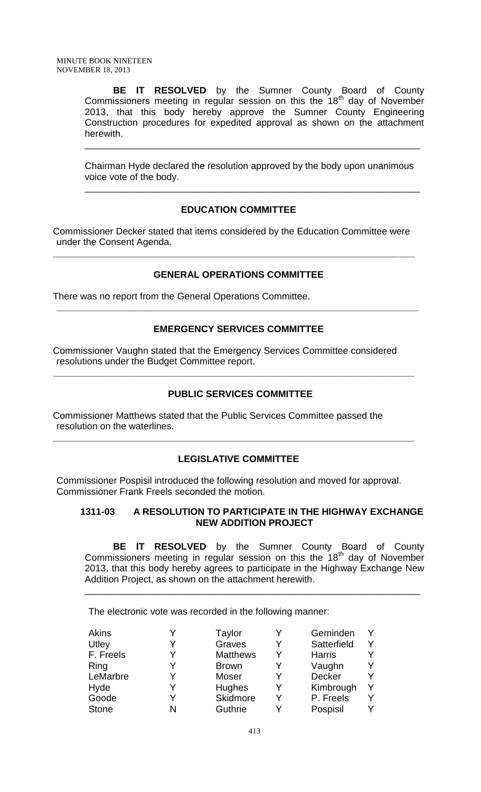**BE IT RESOLVED** by the Sumner County Board of County Commissioners meeting in regular session on this the 18<sup>th</sup> day of November 2013, that this body hereby approve the Sumner County Engineering Construction procedures for expedited approval as shown on the attachment herewith.

Chairman Hyde declared the resolution approved by the body upon unanimous voice vote of the body.

\_\_\_\_\_\_\_\_\_\_\_\_\_\_\_\_\_\_\_\_\_\_\_\_\_\_\_\_\_\_\_\_\_\_\_\_\_\_\_\_\_\_\_\_\_\_\_\_\_\_\_\_\_\_\_\_\_\_\_\_\_\_\_\_

\_\_\_\_\_\_\_\_\_\_\_\_\_\_\_\_\_\_\_\_\_\_\_\_\_\_\_\_\_\_\_\_\_\_\_\_\_\_\_\_\_\_\_\_\_\_\_\_\_\_\_\_\_\_\_\_\_\_\_\_\_\_\_\_

# **EDUCATION COMMITTEE**

Commissioner Decker stated that items considered by the Education Committee were under the Consent Agenda.

**\_\_\_\_\_\_\_\_\_\_\_\_\_\_\_\_\_\_\_\_\_\_\_\_\_\_\_\_\_\_\_\_\_\_\_\_\_\_\_\_\_\_\_\_\_\_\_\_\_\_\_\_\_\_\_\_\_\_\_\_\_\_\_\_\_\_\_\_\_**

### **GENERAL OPERATIONS COMMITTEE**

There was no report from the General Operations Committee.

### **EMERGENCY SERVICES COMMITTEE**

**\_\_\_\_\_\_\_\_\_\_\_\_\_\_\_\_\_\_\_\_\_\_\_\_\_\_\_\_\_\_\_\_\_\_\_\_\_\_\_\_\_\_\_\_\_\_\_\_\_\_\_\_\_\_\_\_\_\_\_\_\_\_\_\_\_\_\_\_\_**

Commissioner Vaughn stated that the Emergency Services Committee considered resolutions under the Budget Committee report.

**\_\_\_\_\_\_\_\_\_\_\_\_\_\_\_\_\_\_\_\_\_\_\_\_\_\_\_\_\_\_\_\_\_\_\_\_\_\_\_\_\_\_\_\_\_\_\_\_\_\_\_\_\_\_\_\_\_\_\_\_\_\_\_\_\_\_\_\_\_**

#### **PUBLIC SERVICES COMMITTEE**

Commissioner Matthews stated that the Public Services Committee passed the resolution on the waterlines.

#### **LEGISLATIVE COMMITTEE**

**\_\_\_\_\_\_\_\_\_\_\_\_\_\_\_\_\_\_\_\_\_\_\_\_\_\_\_\_\_\_\_\_\_\_\_\_\_\_\_\_\_\_\_\_\_\_\_\_\_\_\_\_\_\_\_\_\_\_\_\_\_\_\_\_\_\_\_\_\_**

Commissioner Pospisil introduced the following resolution and moved for approval. Commissioner Frank Freels seconded the motion.

### **1311-03 A RESOLUTION TO PARTICIPATE IN THE HIGHWAY EXCHANGE NEW ADDITION PROJECT**

**BE IT RESOLVED** by the Sumner County Board of County Commissioners meeting in regular session on this the  $18<sup>th</sup>$  day of November 2013, that this body hereby agrees to participate in the Highway Exchange New Addition Project, as shown on the attachment herewith.

\_\_\_\_\_\_\_\_\_\_\_\_\_\_\_\_\_\_\_\_\_\_\_\_\_\_\_\_\_\_\_\_\_\_\_\_\_\_\_\_\_\_\_\_\_\_\_\_\_\_\_\_\_\_\_\_\_\_\_\_\_\_\_\_

The electronic vote was recorded in the following manner:

| Akins        |   | Taylor          |   | Geminden      |   |
|--------------|---|-----------------|---|---------------|---|
| Utley        | V | Graves          | Y | Satterfield   | v |
| F. Freels    | V | <b>Matthews</b> |   | <b>Harris</b> | Y |
| Ring         |   | <b>Brown</b>    |   | Vaughn        |   |
| LeMarbre     | v | Moser           |   | Decker        | Y |
| Hyde         | v | <b>Hughes</b>   | Y | Kimbrough     | Y |
| Goode        |   | Skidmore        |   | P. Freels     | Y |
| <b>Stone</b> |   | Guthrie         |   | Pospisil      |   |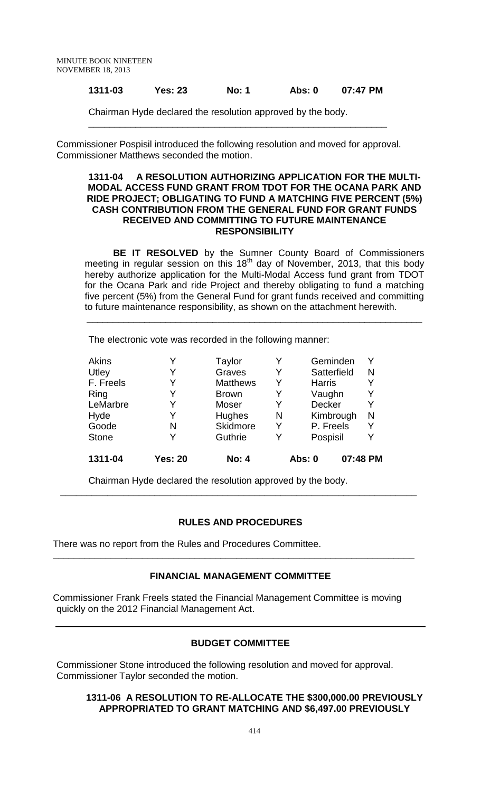### **1311-03 Yes: 23 No: 1 Abs: 0 07:47 PM**

\_\_\_\_\_\_\_\_\_\_\_\_\_\_\_\_\_\_\_\_\_\_\_\_\_\_\_\_\_\_\_\_\_\_\_\_\_\_\_\_\_\_\_\_\_\_\_\_\_\_\_\_\_\_\_\_\_

Chairman Hyde declared the resolution approved by the body.

Commissioner Pospisil introduced the following resolution and moved for approval. Commissioner Matthews seconded the motion.

#### **1311-04 A RESOLUTION AUTHORIZING APPLICATION FOR THE MULTI-MODAL ACCESS FUND GRANT FROM TDOT FOR THE OCANA PARK AND RIDE PROJECT; OBLIGATING TO FUND A MATCHING FIVE PERCENT (5%) CASH CONTRIBUTION FROM THE GENERAL FUND FOR GRANT FUNDS RECEIVED AND COMMITTING TO FUTURE MAINTENANCE RESPONSIBILITY**

**BE IT RESOLVED** by the Sumner County Board of Commissioners meeting in regular session on this 18<sup>th</sup> day of November, 2013, that this body hereby authorize application for the Multi-Modal Access fund grant from TDOT for the Ocana Park and ride Project and thereby obligating to fund a matching five percent (5%) from the General Fund for grant funds received and committing to future maintenance responsibility, as shown on the attachment herewith.

\_\_\_\_\_\_\_\_\_\_\_\_\_\_\_\_\_\_\_\_\_\_\_\_\_\_\_\_\_\_\_\_\_\_\_\_\_\_\_\_\_\_\_\_\_\_\_\_\_\_\_\_\_\_\_\_\_\_\_\_\_\_\_\_

The electronic vote was recorded in the following manner:

| Akins        |                | Taylor          | Y | Geminden                  | Y |
|--------------|----------------|-----------------|---|---------------------------|---|
| Utley        | Y              | Graves          | Y | Satterfield               | N |
| F. Freels    | Y              | <b>Matthews</b> | Y | <b>Harris</b>             | Y |
| Ring         |                | <b>Brown</b>    | Y | Vaughn                    | Y |
| LeMarbre     | Y              | Moser           | Y | Decker                    | Y |
| Hyde         | Y              | Hughes          | N | Kimbrough                 | N |
| Goode        | N              | Skidmore        | Y | P. Freels                 | Y |
| <b>Stone</b> |                | Guthrie         | Y | Pospisil                  | Y |
| 1311-04      | <b>Yes: 20</b> | <b>No: 4</b>    |   | 07:48 PM<br><b>Abs: 0</b> |   |

Chairman Hyde declared the resolution approved by the body.

# **RULES AND PROCEDURES**

**\_\_\_\_\_\_\_\_\_\_\_\_\_\_\_\_\_\_\_\_\_\_\_\_\_\_\_\_\_\_\_\_\_\_\_\_\_\_\_\_\_\_\_\_\_\_\_\_\_\_\_\_\_\_\_\_\_\_\_\_\_\_\_\_\_\_\_\_**

There was no report from the Rules and Procedures Committee.

### **FINANCIAL MANAGEMENT COMMITTEE**

**\_\_\_\_\_\_\_\_\_\_\_\_\_\_\_\_\_\_\_\_\_\_\_\_\_\_\_\_\_\_\_\_\_\_\_\_\_\_\_\_\_\_\_\_\_\_\_\_\_\_\_\_\_\_\_\_\_\_\_\_\_\_\_\_\_\_\_\_\_**

Commissioner Frank Freels stated the Financial Management Committee is moving quickly on the 2012 Financial Management Act.

### **BUDGET COMMITTEE**

Commissioner Stone introduced the following resolution and moved for approval. Commissioner Taylor seconded the motion.

### **1311-06 A RESOLUTION TO RE-ALLOCATE THE \$300,000.00 PREVIOUSLY APPROPRIATED TO GRANT MATCHING AND \$6,497.00 PREVIOUSLY**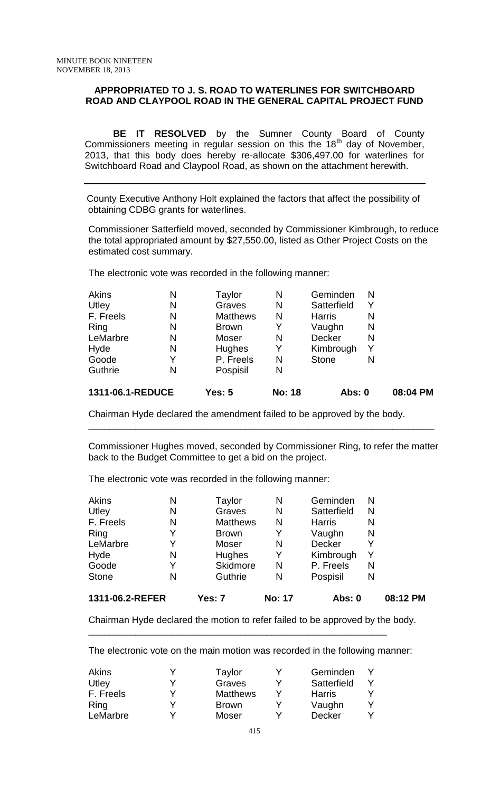#### **APPROPRIATED TO J. S. ROAD TO WATERLINES FOR SWITCHBOARD ROAD AND CLAYPOOL ROAD IN THE GENERAL CAPITAL PROJECT FUND**

**BE IT RESOLVED** by the Sumner County Board of County Commissioners meeting in regular session on this the  $18<sup>th</sup>$  day of November, 2013, that this body does hereby re-allocate \$306,497.00 for waterlines for Switchboard Road and Claypool Road, as shown on the attachment herewith.

 County Executive Anthony Holt explained the factors that affect the possibility of obtaining CDBG grants for waterlines.

Commissioner Satterfield moved, seconded by Commissioner Kimbrough, to reduce the total appropriated amount by \$27,550.00, listed as Other Project Costs on the estimated cost summary.

The electronic vote was recorded in the following manner:

| Y<br>N |
|--------|
|        |
|        |
|        |
| N      |
| N      |
| N      |
| Y      |
| N      |
|        |

Chairman Hyde declared the amendment failed to be approved by the body.

Commissioner Hughes moved, seconded by Commissioner Ring, to refer the matter back to the Budget Committee to get a bid on the project.

 $\overline{\phantom{a}}$  , and the contribution of the contribution of the contribution of the contribution of the contribution of the contribution of the contribution of the contribution of the contribution of the contribution of the

The electronic vote was recorded in the following manner:

| 1311-06.2-REFER |   | Yes: 7          | <b>No: 17</b> | <b>Abs: 0</b> |   | 08:12 PM |
|-----------------|---|-----------------|---------------|---------------|---|----------|
| <b>Stone</b>    | N | Guthrie         | N             | Pospisil      | N |          |
| Goode           | Y | Skidmore        | N             | P. Freels     | N |          |
| Hyde            | N | <b>Hughes</b>   | Y             | Kimbrough     | Y |          |
| LeMarbre        | Y | Moser           | N             | <b>Decker</b> | Y |          |
| Ring            | Y | <b>Brown</b>    | Y             | Vaughn        | N |          |
| F. Freels       | N | <b>Matthews</b> | N             | <b>Harris</b> | N |          |
| Utley           | N | Graves          | N             | Satterfield   | N |          |
| <b>Akins</b>    | Ν | Taylor          | N             | Geminden      | N |          |

Chairman Hyde declared the motion to refer failed to be approved by the body.

The electronic vote on the main motion was recorded in the following manner:

\_\_\_\_\_\_\_\_\_\_\_\_\_\_\_\_\_\_\_\_\_\_\_\_\_\_\_\_\_\_\_\_\_\_\_\_\_\_\_\_\_\_\_\_\_\_\_\_\_\_\_\_\_\_\_\_\_

| Akins     | Taylor          | Geminden      |  |
|-----------|-----------------|---------------|--|
| Utley     | Graves          | Satterfield   |  |
| F. Freels | <b>Matthews</b> | <b>Harris</b> |  |
| Ring      | <b>Brown</b>    | Vaughn        |  |
| LeMarbre  | Moser           | <b>Decker</b> |  |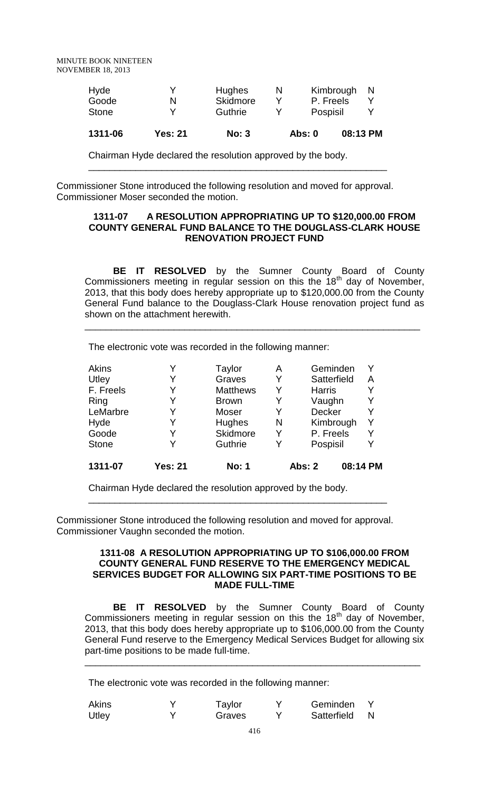MINUTE BOOK NINETEEN NOVEMBER 18, 2013

| 1311-06 | <b>Yes: 21</b> | No: 3           |   | <b>Abs: 0</b> |           | 08:13 PM |
|---------|----------------|-----------------|---|---------------|-----------|----------|
| Stone   |                | Guthrie         |   | Pospisil      |           |          |
| Goode   | N              | <b>Skidmore</b> |   | P. Freels     |           |          |
| Hyde    |                | Hughes          | N |               | Kimbrough | N        |

\_\_\_\_\_\_\_\_\_\_\_\_\_\_\_\_\_\_\_\_\_\_\_\_\_\_\_\_\_\_\_\_\_\_\_\_\_\_\_\_\_\_\_\_\_\_\_\_\_\_\_\_\_\_\_\_\_

Chairman Hyde declared the resolution approved by the body.

Commissioner Stone introduced the following resolution and moved for approval. Commissioner Moser seconded the motion.

#### **1311-07 A RESOLUTION APPROPRIATING UP TO \$120,000.00 FROM COUNTY GENERAL FUND BALANCE TO THE DOUGLASS-CLARK HOUSE RENOVATION PROJECT FUND**

**BE IT RESOLVED** by the Sumner County Board of County Commissioners meeting in regular session on this the  $18<sup>th</sup>$  day of November, 2013, that this body does hereby appropriate up to \$120,000.00 from the County General Fund balance to the Douglass-Clark House renovation project fund as shown on the attachment herewith.

\_\_\_\_\_\_\_\_\_\_\_\_\_\_\_\_\_\_\_\_\_\_\_\_\_\_\_\_\_\_\_\_\_\_\_\_\_\_\_\_\_\_\_\_\_\_\_\_\_\_\_\_\_\_\_\_\_\_\_\_\_\_\_\_

The electronic vote was recorded in the following manner:

| <b>Akins</b> |                | Taylor          | Α | Geminden      | Y        |
|--------------|----------------|-----------------|---|---------------|----------|
| Utley        | Y              | Graves          | Y | Satterfield   | A        |
| F. Freels    | Y              | <b>Matthews</b> | Y | <b>Harris</b> | Y        |
| Ring         |                | <b>Brown</b>    | Y | Vaughn        | Y        |
| LeMarbre     | Y              | Moser           | Y | Decker        | Y        |
| Hyde         | Y              | <b>Hughes</b>   | N | Kimbrough     | Y        |
| Goode        | Y              | Skidmore        | Y | P. Freels     | Y        |
| <b>Stone</b> |                | Guthrie         | Y | Pospisil      | Y        |
| 1311-07      | <b>Yes: 21</b> | <b>No: 1</b>    |   | <b>Abs: 2</b> | 08:14 PM |

Chairman Hyde declared the resolution approved by the body.

Commissioner Stone introduced the following resolution and moved for approval. Commissioner Vaughn seconded the motion.

\_\_\_\_\_\_\_\_\_\_\_\_\_\_\_\_\_\_\_\_\_\_\_\_\_\_\_\_\_\_\_\_\_\_\_\_\_\_\_\_\_\_\_\_\_\_\_\_\_\_\_\_\_\_\_\_\_

#### **1311-08 A RESOLUTION APPROPRIATING UP TO \$106,000.00 FROM COUNTY GENERAL FUND RESERVE TO THE EMERGENCY MEDICAL SERVICES BUDGET FOR ALLOWING SIX PART-TIME POSITIONS TO BE MADE FULL-TIME**

**BE IT RESOLVED** by the Sumner County Board of County Commissioners meeting in regular session on this the  $18<sup>th</sup>$  day of November, 2013, that this body does hereby appropriate up to \$106,000.00 from the County General Fund reserve to the Emergency Medical Services Budget for allowing six part-time positions to be made full-time.

\_\_\_\_\_\_\_\_\_\_\_\_\_\_\_\_\_\_\_\_\_\_\_\_\_\_\_\_\_\_\_\_\_\_\_\_\_\_\_\_\_\_\_\_\_\_\_\_\_\_\_\_\_\_\_\_\_\_\_\_\_\_\_\_

The electronic vote was recorded in the following manner:

| <b>Akins</b> | Taylor | Geminden    |  |
|--------------|--------|-------------|--|
| Utley        | Graves | Satterfield |  |